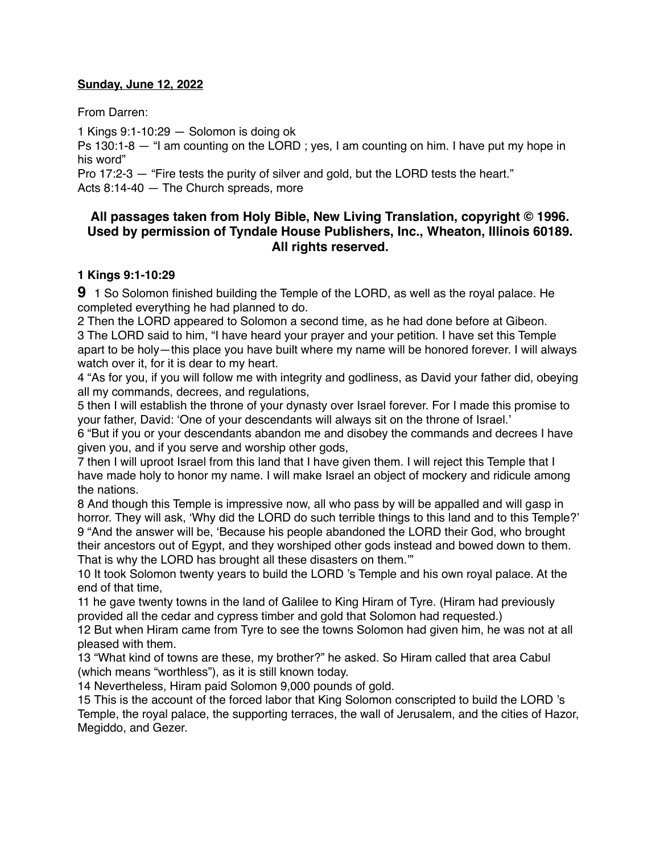#### **Sunday, June 12, 2022**

From Darren:

1 Kings 9:1-10:29 — Solomon is doing ok

Ps 130:1-8 — "I am counting on the LORD ; yes, I am counting on him. I have put my hope in his word"

Pro 17:2-3 — "Fire tests the purity of silver and gold, but the LORD tests the heart." Acts 8:14-40 — The Church spreads, more

## **All passages taken from Holy Bible, [New Living Translation](http://www.newlivingtranslation.com/), copyright © 1996. Used by permission of [Tyndale House Publishers](http://tyndale.com/), Inc., Wheaton, Illinois 60189. All rights reserved.**

#### **1 Kings 9:1-10:29**

**9** 1 So Solomon finished building the Temple of the LORD, as well as the royal palace. He completed everything he had planned to do.

2 Then the LORD appeared to Solomon a second time, as he had done before at Gibeon. 3 The LORD said to him, "I have heard your prayer and your petition. I have set this Temple apart to be holy—this place you have built where my name will be honored forever. I will always watch over it, for it is dear to my heart.

4 "As for you, if you will follow me with integrity and godliness, as David your father did, obeying all my commands, decrees, and regulations,

5 then I will establish the throne of your dynasty over Israel forever. For I made this promise to your father, David: 'One of your descendants will always sit on the throne of Israel.'

6 "But if you or your descendants abandon me and disobey the commands and decrees I have given you, and if you serve and worship other gods,

7 then I will uproot Israel from this land that I have given them. I will reject this Temple that I have made holy to honor my name. I will make Israel an object of mockery and ridicule among the nations.

8 And though this Temple is impressive now, all who pass by will be appalled and will gasp in horror. They will ask, 'Why did the LORD do such terrible things to this land and to this Temple?' 9 "And the answer will be, 'Because his people abandoned the LORD their God, who brought their ancestors out of Egypt, and they worshiped other gods instead and bowed down to them. That is why the LORD has brought all these disasters on them.'"

10 It took Solomon twenty years to build the LORD 's Temple and his own royal palace. At the end of that time,

11 he gave twenty towns in the land of Galilee to King Hiram of Tyre. (Hiram had previously provided all the cedar and cypress timber and gold that Solomon had requested.)

12 But when Hiram came from Tyre to see the towns Solomon had given him, he was not at all pleased with them.

13 "What kind of towns are these, my brother?" he asked. So Hiram called that area Cabul (which means "worthless"), as it is still known today.

14 Nevertheless, Hiram paid Solomon 9,000 pounds of gold.

15 This is the account of the forced labor that King Solomon conscripted to build the LORD 's Temple, the royal palace, the supporting terraces, the wall of Jerusalem, and the cities of Hazor, Megiddo, and Gezer.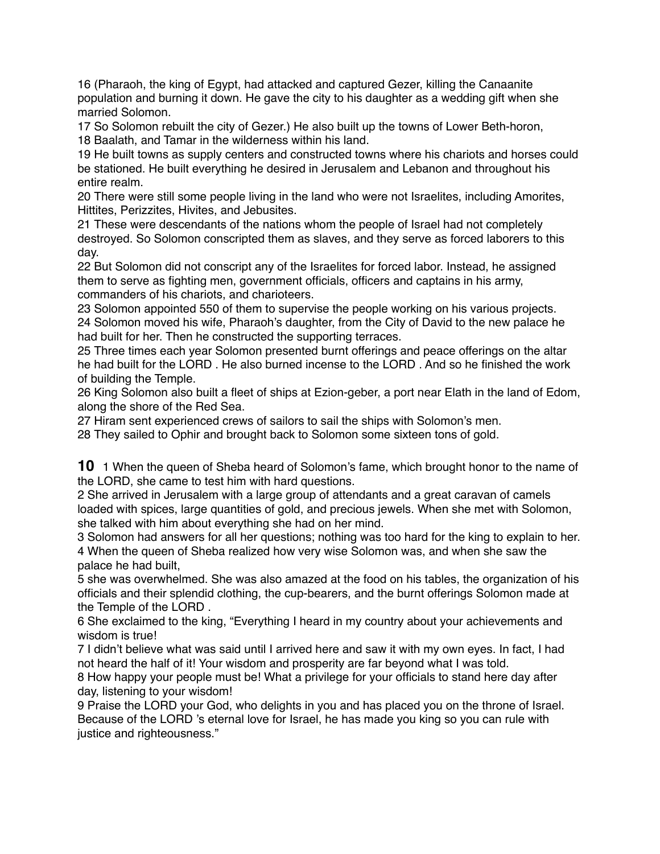16 (Pharaoh, the king of Egypt, had attacked and captured Gezer, killing the Canaanite population and burning it down. He gave the city to his daughter as a wedding gift when she married Solomon.

17 So Solomon rebuilt the city of Gezer.) He also built up the towns of Lower Beth-horon, 18 Baalath, and Tamar in the wilderness within his land.

19 He built towns as supply centers and constructed towns where his chariots and horses could be stationed. He built everything he desired in Jerusalem and Lebanon and throughout his entire realm.

20 There were still some people living in the land who were not Israelites, including Amorites, Hittites, Perizzites, Hivites, and Jebusites.

21 These were descendants of the nations whom the people of Israel had not completely destroyed. So Solomon conscripted them as slaves, and they serve as forced laborers to this day.

22 But Solomon did not conscript any of the Israelites for forced labor. Instead, he assigned them to serve as fighting men, government officials, officers and captains in his army, commanders of his chariots, and charioteers.

23 Solomon appointed 550 of them to supervise the people working on his various projects. 24 Solomon moved his wife, Pharaoh's daughter, from the City of David to the new palace he had built for her. Then he constructed the supporting terraces.

25 Three times each year Solomon presented burnt offerings and peace offerings on the altar he had built for the LORD . He also burned incense to the LORD . And so he finished the work of building the Temple.

26 King Solomon also built a fleet of ships at Ezion-geber, a port near Elath in the land of Edom, along the shore of the Red Sea.

27 Hiram sent experienced crews of sailors to sail the ships with Solomon's men.

28 They sailed to Ophir and brought back to Solomon some sixteen tons of gold.

**10** 1 When the queen of Sheba heard of Solomon's fame, which brought honor to the name of the LORD, she came to test him with hard questions.

2 She arrived in Jerusalem with a large group of attendants and a great caravan of camels loaded with spices, large quantities of gold, and precious jewels. When she met with Solomon, she talked with him about everything she had on her mind.

3 Solomon had answers for all her questions; nothing was too hard for the king to explain to her. 4 When the queen of Sheba realized how very wise Solomon was, and when she saw the palace he had built,

5 she was overwhelmed. She was also amazed at the food on his tables, the organization of his officials and their splendid clothing, the cup-bearers, and the burnt offerings Solomon made at the Temple of the LORD .

6 She exclaimed to the king, "Everything I heard in my country about your achievements and wisdom is true!

7 I didn't believe what was said until I arrived here and saw it with my own eyes. In fact, I had not heard the half of it! Your wisdom and prosperity are far beyond what I was told.

8 How happy your people must be! What a privilege for your officials to stand here day after day, listening to your wisdom!

9 Praise the LORD your God, who delights in you and has placed you on the throne of Israel. Because of the LORD 's eternal love for Israel, he has made you king so you can rule with justice and righteousness."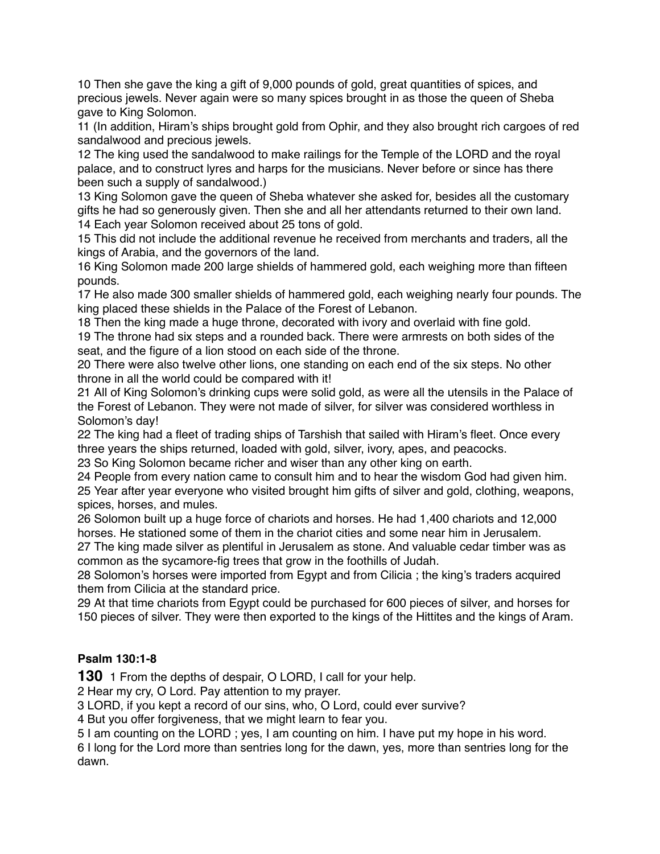10 Then she gave the king a gift of 9,000 pounds of gold, great quantities of spices, and precious jewels. Never again were so many spices brought in as those the queen of Sheba gave to King Solomon.

11 (In addition, Hiram's ships brought gold from Ophir, and they also brought rich cargoes of red sandalwood and precious jewels.

12 The king used the sandalwood to make railings for the Temple of the LORD and the royal palace, and to construct lyres and harps for the musicians. Never before or since has there been such a supply of sandalwood.)

13 King Solomon gave the queen of Sheba whatever she asked for, besides all the customary gifts he had so generously given. Then she and all her attendants returned to their own land. 14 Each year Solomon received about 25 tons of gold.

15 This did not include the additional revenue he received from merchants and traders, all the kings of Arabia, and the governors of the land.

16 King Solomon made 200 large shields of hammered gold, each weighing more than fifteen pounds.

17 He also made 300 smaller shields of hammered gold, each weighing nearly four pounds. The king placed these shields in the Palace of the Forest of Lebanon.

18 Then the king made a huge throne, decorated with ivory and overlaid with fine gold. 19 The throne had six steps and a rounded back. There were armrests on both sides of the seat, and the figure of a lion stood on each side of the throne.

20 There were also twelve other lions, one standing on each end of the six steps. No other throne in all the world could be compared with it!

21 All of King Solomon's drinking cups were solid gold, as were all the utensils in the Palace of the Forest of Lebanon. They were not made of silver, for silver was considered worthless in Solomon's day!

22 The king had a fleet of trading ships of Tarshish that sailed with Hiram's fleet. Once every three years the ships returned, loaded with gold, silver, ivory, apes, and peacocks.

23 So King Solomon became richer and wiser than any other king on earth.

24 People from every nation came to consult him and to hear the wisdom God had given him. 25 Year after year everyone who visited brought him gifts of silver and gold, clothing, weapons, spices, horses, and mules.

26 Solomon built up a huge force of chariots and horses. He had 1,400 chariots and 12,000 horses. He stationed some of them in the chariot cities and some near him in Jerusalem.

27 The king made silver as plentiful in Jerusalem as stone. And valuable cedar timber was as common as the sycamore-fig trees that grow in the foothills of Judah.

28 Solomon's horses were imported from Egypt and from Cilicia ; the king's traders acquired them from Cilicia at the standard price.

29 At that time chariots from Egypt could be purchased for 600 pieces of silver, and horses for 150 pieces of silver. They were then exported to the kings of the Hittites and the kings of Aram.

## **Psalm 130:1-8**

**130** 1 From the depths of despair, O LORD, I call for your help.

2 Hear my cry, O Lord. Pay attention to my prayer.

3 LORD, if you kept a record of our sins, who, O Lord, could ever survive?

4 But you offer forgiveness, that we might learn to fear you.

5 I am counting on the LORD ; yes, I am counting on him. I have put my hope in his word.

6 I long for the Lord more than sentries long for the dawn, yes, more than sentries long for the dawn.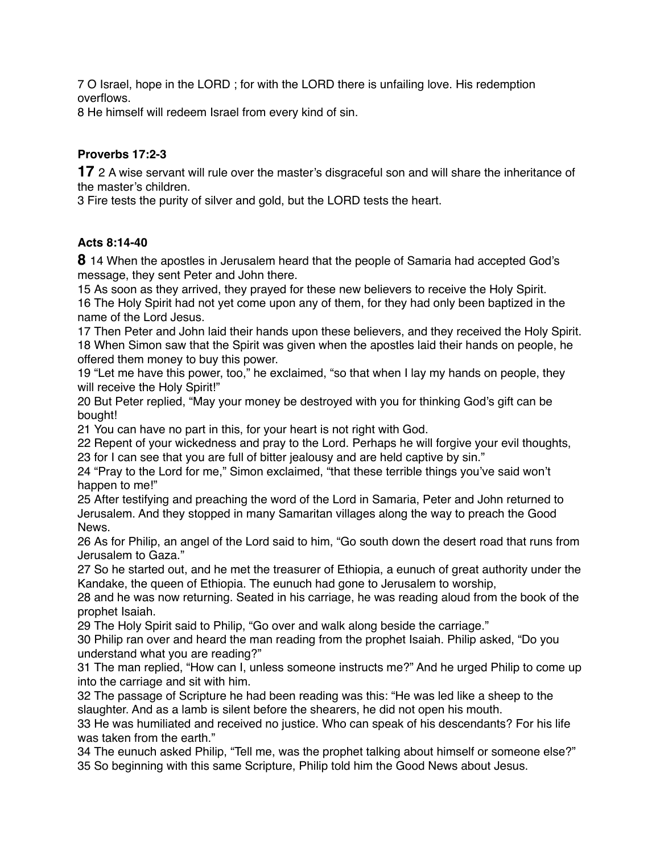7 O Israel, hope in the LORD ; for with the LORD there is unfailing love. His redemption overflows.

8 He himself will redeem Israel from every kind of sin.

# **Proverbs 17:2-3**

**17** 2 A wise servant will rule over the master's disgraceful son and will share the inheritance of the master's children.

3 Fire tests the purity of silver and gold, but the LORD tests the heart.

# **Acts 8:14-40**

**8** 14 When the apostles in Jerusalem heard that the people of Samaria had accepted God's message, they sent Peter and John there.

15 As soon as they arrived, they prayed for these new believers to receive the Holy Spirit. 16 The Holy Spirit had not yet come upon any of them, for they had only been baptized in the name of the Lord Jesus.

17 Then Peter and John laid their hands upon these believers, and they received the Holy Spirit. 18 When Simon saw that the Spirit was given when the apostles laid their hands on people, he offered them money to buy this power.

19 "Let me have this power, too," he exclaimed, "so that when I lay my hands on people, they will receive the Holy Spirit!"

20 But Peter replied, "May your money be destroyed with you for thinking God's gift can be bought!

21 You can have no part in this, for your heart is not right with God.

22 Repent of your wickedness and pray to the Lord. Perhaps he will forgive your evil thoughts, 23 for I can see that you are full of bitter jealousy and are held captive by sin."

24 "Pray to the Lord for me," Simon exclaimed, "that these terrible things you've said won't happen to me!"

25 After testifying and preaching the word of the Lord in Samaria, Peter and John returned to Jerusalem. And they stopped in many Samaritan villages along the way to preach the Good News.

26 As for Philip, an angel of the Lord said to him, "Go south down the desert road that runs from Jerusalem to Gaza."

27 So he started out, and he met the treasurer of Ethiopia, a eunuch of great authority under the Kandake, the queen of Ethiopia. The eunuch had gone to Jerusalem to worship,

28 and he was now returning. Seated in his carriage, he was reading aloud from the book of the prophet Isaiah.

29 The Holy Spirit said to Philip, "Go over and walk along beside the carriage."

30 Philip ran over and heard the man reading from the prophet Isaiah. Philip asked, "Do you understand what you are reading?"

31 The man replied, "How can I, unless someone instructs me?" And he urged Philip to come up into the carriage and sit with him.

32 The passage of Scripture he had been reading was this: "He was led like a sheep to the slaughter. And as a lamb is silent before the shearers, he did not open his mouth.

33 He was humiliated and received no justice. Who can speak of his descendants? For his life was taken from the earth."

34 The eunuch asked Philip, "Tell me, was the prophet talking about himself or someone else?" 35 So beginning with this same Scripture, Philip told him the Good News about Jesus.